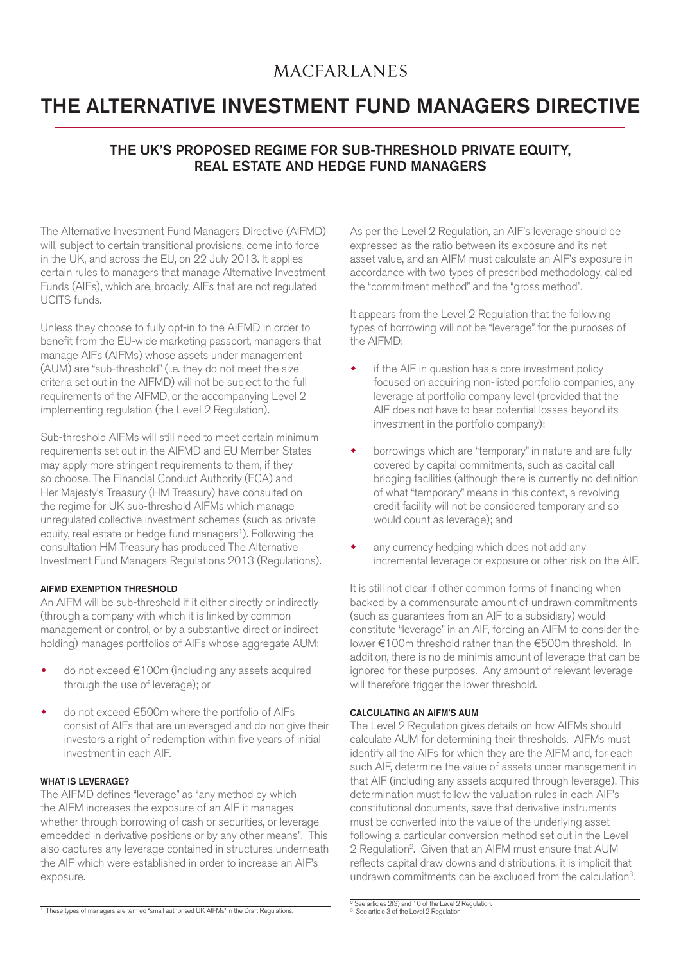## **MACFARLANES**

# THE ALTERNATIVE INVESTMENT FUND MANAGERS DIRECTIVE

### THE UK'S PROPOSED REGIME FOR SUB-THRESHOLD PRIVATE EQUITY, REAL ESTATE AND HEDGE FUND MANAGERS

The Alternative Investment Fund Managers Directive (AIFMD) will, subject to certain transitional provisions, come into force in the UK, and across the EU, on 22 July 2013. It applies certain rules to managers that manage Alternative Investment Funds (AIFs), which are, broadly, AIFs that are not regulated UCITS funds.

Unless they choose to fully opt-in to the AIFMD in order to benefit from the EU-wide marketing passport, managers that manage AIFs (AIFMs) whose assets under management (AUM) are "sub-threshold" (i.e. they do not meet the size criteria set out in the AIFMD) will not be subject to the full requirements of the AIFMD, or the accompanying Level 2 implementing regulation (the Level 2 Regulation).

Sub-threshold AIFMs will still need to meet certain minimum requirements set out in the AIFMD and EU Member States may apply more stringent requirements to them, if they so choose. The Financial Conduct Authority (FCA) and Her Majesty's Treasury (HM Treasury) have consulted on the regime for UK sub-threshold AIFMs which manage unregulated collective investment schemes (such as private equity, real estate or hedge fund managers<sup>1</sup>). Following the consultation HM Treasury has produced The Alternative Investment Fund Managers Regulations 2013 (Regulations).

#### AIFMD EXEMPTION THRESHOLD

An AIFM will be sub-threshold if it either directly or indirectly (through a company with which it is linked by common management or control, or by a substantive direct or indirect holding) manages portfolios of AIFs whose aggregate AUM:

- do not exceed €100m (including any assets acquired through the use of leverage); or
- do not exceed €500m where the portfolio of AIFs consist of AIFs that are unleveraged and do not give their investors a right of redemption within five years of initial investment in each AIF.

#### WHAT IS LEVERAGE?

The AIFMD defines "leverage" as "any method by which the AIFM increases the exposure of an AIF it manages whether through borrowing of cash or securities, or leverage embedded in derivative positions or by any other means". This also captures any leverage contained in structures underneath the AIF which were established in order to increase an AIF's exposure.

As per the Level 2 Regulation, an AIF's leverage should be expressed as the ratio between its exposure and its net asset value, and an AIFM must calculate an AIF's exposure in accordance with two types of prescribed methodology, called the "commitment method" and the "gross method".

It appears from the Level 2 Regulation that the following types of borrowing will not be "leverage" for the purposes of the AIFMD:

- if the AIF in question has a core investment policy focused on acquiring non-listed portfolio companies, any leverage at portfolio company level (provided that the AIF does not have to bear potential losses beyond its investment in the portfolio company);
- borrowings which are "temporary" in nature and are fully covered by capital commitments, such as capital call bridging facilities (although there is currently no definition of what "temporary" means in this context, a revolving credit facility will not be considered temporary and so would count as leverage); and
- any currency hedging which does not add any incremental leverage or exposure or other risk on the AIF.

It is still not clear if other common forms of financing when backed by a commensurate amount of undrawn commitments (such as guarantees from an AIF to a subsidiary) would constitute "leverage" in an AIF, forcing an AIFM to consider the lower €100m threshold rather than the €500m threshold. In addition, there is no de minimis amount of leverage that can be ignored for these purposes. Any amount of relevant leverage will therefore trigger the lower threshold.

#### CALCULATING AN AIFM'S AUM

The Level 2 Regulation gives details on how AIFMs should calculate AUM for determining their thresholds. AIFMs must identify all the AIFs for which they are the AIFM and, for each such AIF, determine the value of assets under management in that AIF (including any assets acquired through leverage). This determination must follow the valuation rules in each AIF's constitutional documents, save that derivative instruments must be converted into the value of the underlying asset following a particular conversion method set out in the Level 2 Regulation2. Given that an AIFM must ensure that AUM reflects capital draw downs and distributions, it is implicit that undrawn commitments can be excluded from the calculation3.

<sup>1</sup> These types of managers are termed "small authorised UK AIFMs" in the Draft Regulations.

<sup>2</sup> See articles 2(3) and 10 of the Level 2 Regulation. 3 See article 3 of the Level 2 Regulation.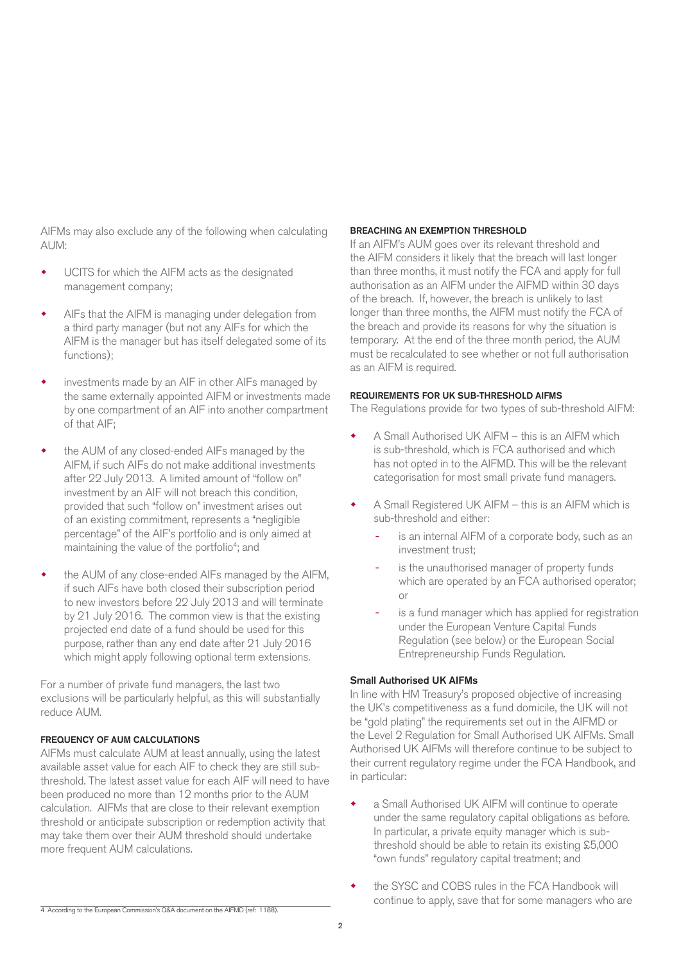AIFMs may also exclude any of the following when calculating AUM:

- UCITS for which the AIFM acts as the designated management company;
- AIFs that the AIFM is managing under delegation from a third party manager (but not any AIFs for which the AIFM is the manager but has itself delegated some of its functions);
- investments made by an AIF in other AIFs managed by the same externally appointed AIFM or investments made by one compartment of an AIF into another compartment of that AIF;
- the AUM of any closed-ended AIFs managed by the AIFM, if such AIFs do not make additional investments after 22 July 2013. A limited amount of "follow on" investment by an AIF will not breach this condition, provided that such "follow on" investment arises out of an existing commitment, represents a "negligible percentage" of the AIF's portfolio and is only aimed at maintaining the value of the portfolio<sup>4</sup>; and
- the AUM of any close-ended AIFs managed by the AIFM, if such AIFs have both closed their subscription period to new investors before 22 July 2013 and will terminate by 21 July 2016. The common view is that the existing projected end date of a fund should be used for this purpose, rather than any end date after 21 July 2016 which might apply following optional term extensions.

For a number of private fund managers, the last two exclusions will be particularly helpful, as this will substantially reduce AUM.

#### FREQUENCY OF AUM CALCULATIONS

AIFMs must calculate AUM at least annually, using the latest available asset value for each AIF to check they are still subthreshold. The latest asset value for each AIF will need to have been produced no more than 12 months prior to the AUM calculation. AIFMs that are close to their relevant exemption threshold or anticipate subscription or redemption activity that may take them over their AUM threshold should undertake more frequent AUM calculations.

#### BREACHING AN EXEMPTION THRESHOLD

If an AIFM's AUM goes over its relevant threshold and the AIFM considers it likely that the breach will last longer than three months, it must notify the FCA and apply for full authorisation as an AIFM under the AIFMD within 30 days of the breach. If, however, the breach is unlikely to last longer than three months, the AIFM must notify the FCA of the breach and provide its reasons for why the situation is temporary. At the end of the three month period, the AUM must be recalculated to see whether or not full authorisation as an AIFM is required.

#### REQUIREMENTS FOR UK SUB-THRESHOLD AIFMS

The Regulations provide for two types of sub-threshold AIFM:

- A Small Authorised UK AIFM this is an AIFM which is sub-threshold, which is FCA authorised and which has not opted in to the AIFMD. This will be the relevant categorisation for most small private fund managers.
- A Small Registered UK AIFM this is an AIFM which is sub-threshold and either:
	- is an internal AIFM of a corporate body, such as an investment trust;
	- is the unauthorised manager of property funds which are operated by an FCA authorised operator; or
	- is a fund manager which has applied for registration under the European Venture Capital Funds Regulation (see below) or the European Social Entrepreneurship Funds Regulation.

#### Small Authorised UK AIFMs

In line with HM Treasury's proposed objective of increasing the UK's competitiveness as a fund domicile, the UK will not be "gold plating" the requirements set out in the AIFMD or the Level 2 Regulation for Small Authorised UK AIFMs. Small Authorised UK AIFMs will therefore continue to be subject to their current regulatory regime under the FCA Handbook, and in particular:

- a Small Authorised UK AIFM will continue to operate under the same regulatory capital obligations as before. In particular, a private equity manager which is subthreshold should be able to retain its existing £5,000 "own funds" regulatory capital treatment; and
- the SYSC and COBS rules in the FCA Handbook will continue to apply, save that for some managers who are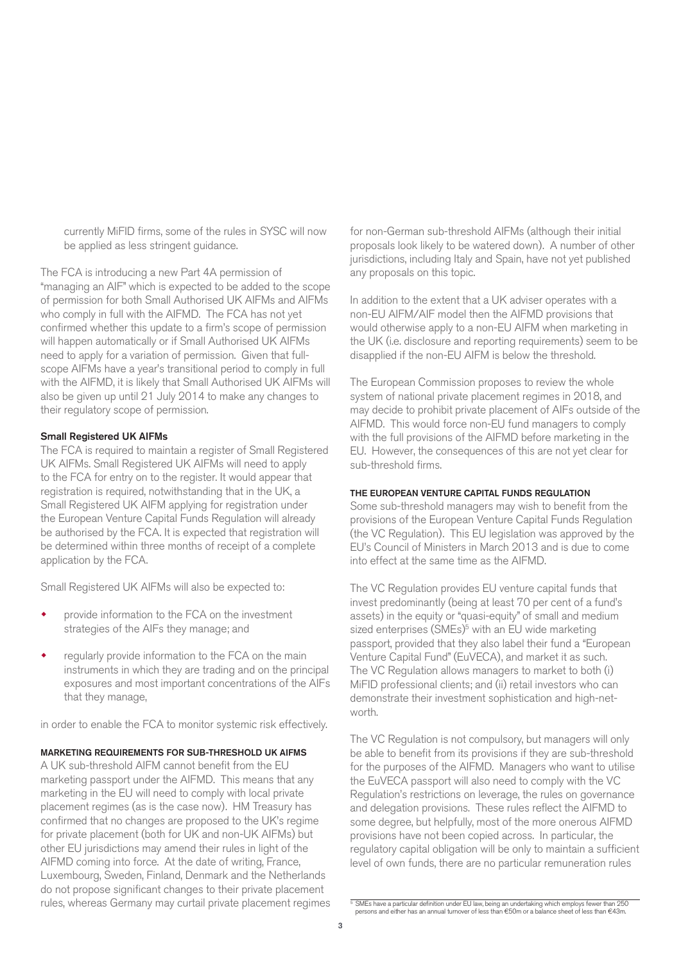currently MiFID firms, some of the rules in SYSC will now be applied as less stringent guidance.

The FCA is introducing a new Part 4A permission of "managing an AIF" which is expected to be added to the scope of permission for both Small Authorised UK AIFMs and AIFMs who comply in full with the AIFMD. The FCA has not yet confirmed whether this update to a firm's scope of permission will happen automatically or if Small Authorised UK AIFMs need to apply for a variation of permission. Given that fullscope AIFMs have a year's transitional period to comply in full with the AIFMD, it is likely that Small Authorised UK AIFMs will also be given up until 21 July 2014 to make any changes to their regulatory scope of permission.

#### Small Registered UK AIFMs

The FCA is required to maintain a register of Small Registered UK AIFMs. Small Registered UK AIFMs will need to apply to the FCA for entry on to the register. It would appear that registration is required, notwithstanding that in the UK, a Small Registered UK AIFM applying for registration under the European Venture Capital Funds Regulation will already be authorised by the FCA. It is expected that registration will be determined within three months of receipt of a complete application by the FCA.

Small Registered UK AIFMs will also be expected to:

- provide information to the FCA on the investment strategies of the AIFs they manage; and
- regularly provide information to the FCA on the main instruments in which they are trading and on the principal exposures and most important concentrations of the AIFs that they manage,

in order to enable the FCA to monitor systemic risk effectively.

#### MARKETING REQUIREMENTS FOR SUB-THRESHOLD UK AIFMS

A UK sub-threshold AIFM cannot benefit from the EU marketing passport under the AIFMD. This means that any marketing in the EU will need to comply with local private placement regimes (as is the case now). HM Treasury has confirmed that no changes are proposed to the UK's regime for private placement (both for UK and non-UK AIFMs) but other EU jurisdictions may amend their rules in light of the AIFMD coming into force. At the date of writing, France, Luxembourg, Sweden, Finland, Denmark and the Netherlands do not propose significant changes to their private placement rules, whereas Germany may curtail private placement regimes

for non-German sub-threshold AIFMs (although their initial proposals look likely to be watered down). A number of other jurisdictions, including Italy and Spain, have not yet published any proposals on this topic.

In addition to the extent that a UK adviser operates with a non-EU AIFM/AIF model then the AIFMD provisions that would otherwise apply to a non-EU AIFM when marketing in the UK (i.e. disclosure and reporting requirements) seem to be disapplied if the non-EU AIFM is below the threshold.

The European Commission proposes to review the whole system of national private placement regimes in 2018, and may decide to prohibit private placement of AIFs outside of the AIFMD. This would force non-EU fund managers to comply with the full provisions of the AIFMD before marketing in the EU. However, the consequences of this are not yet clear for sub-threshold firms.

#### THE EUROPEAN VENTURE CAPITAL FUNDS REGULATION

Some sub-threshold managers may wish to benefit from the provisions of the European Venture Capital Funds Regulation (the VC Regulation). This EU legislation was approved by the EU's Council of Ministers in March 2013 and is due to come into effect at the same time as the AIFMD.

The VC Regulation provides EU venture capital funds that invest predominantly (being at least 70 per cent of a fund's assets) in the equity or "quasi-equity" of small and medium sized enterprises (SMEs)<sup>5</sup> with an EU wide marketing passport, provided that they also label their fund a "European Venture Capital Fund" (EuVECA), and market it as such. The VC Regulation allows managers to market to both (i) MiFID professional clients; and (ii) retail investors who can demonstrate their investment sophistication and high-networth.

The VC Regulation is not compulsory, but managers will only be able to benefit from its provisions if they are sub-threshold for the purposes of the AIFMD. Managers who want to utilise the EuVECA passport will also need to comply with the VC Regulation's restrictions on leverage, the rules on governance and delegation provisions. These rules reflect the AIFMD to some degree, but helpfully, most of the more onerous AIFMD provisions have not been copied across. In particular, the regulatory capital obligation will be only to maintain a sufficient level of own funds, there are no particular remuneration rules

 $\frac{1}{2}$  SMEs have a particular definition under EU law, being an undertaking which employs fewer than 250<br>persons and either has an annual turnover of less than €50m or a balance sheet of less than €43m.